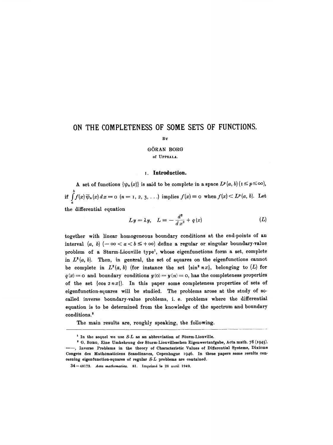# **ON THE COMPLETENESS OF SOME SETS OF FUNCTIONS.**

#### BY

## GORAN BORG Of UPPSALA.

#### **i. Introduction.**

A set of functions  $\{\psi_n(x)\}\$ is said to be complete in a space  $L^p(a, b)(1 \leq p \leq \infty)$ , if  $\int_a^b f(x) \overline{\psi}_n(x) dx = o$   $(n = 1, 2, 3, \ldots)$  implies  $f(x) = o$  when  $f(x) \leq L^p(a, b)$ . Let the differential equation

$$
Ly = \lambda y, \quad L \equiv -\frac{d^2}{dx^2} + q(x) \tag{L}
$$

together with linear homogeneous boundary conditions at the end-points of an interval  $(a, b)$   $(-\infty < a < b \leq +\infty)$  define a regular or singular boundary-value problem of a Sturm-Liouville type<sup>1</sup>, whose eigenfunctions form a set, complete in  $L^2(a, b)$ . Then, in general, the set of squares on the eigenfunctions cannot be complete in  $L^2(a, b)$  (for instance the set { $\sin^2 nx$ }, belonging to (L) for  $q(x) = 0$  and boundary conditions  $y(0) = y(n) = 0$ , has the completeness properties of the set  $\{\cos 2nx\}$ . In this paper some completeness properties of sets of eigenfunction-squares will be studied. The problems arose at the study of socalled inverse boundary-value problems, i. e. problems where the differential equation is to be determined from the knowledge of the spectrum and boundary conditions.<sup>2</sup>

The main results are, roughly speaking, the following.

<sup>&#</sup>x27; In the sequel we use *S-L* as an abbreviation of Sturm-Liouville.

<sup>&</sup>lt;sup>2</sup> G. BORG, Eine Umkehrung der Sturm-Liouvilleschen Eigenwertaufgabe, Acta math. 78 (1945). ~--, Inverse Problems in the theory of Characteristic Values of Differential Systems, Dixieme Congrès des Mathématiciens Scandinaves, Copenhague 1946. In these papers some results concerning eigenfunction-squares of regular *S-L* problems are contained.

<sup>34-48173.</sup> Acta mathematica. 81. Imprimé le 28 avril 1949.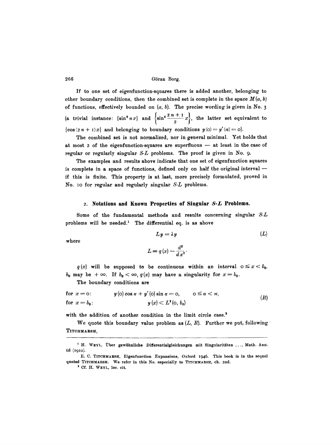If to one set of eigenfunction-squares there is added another, belonging to other boundary conditions, then the combined set is complete in the space  $M(a, b)$ of functions, effectively bounded on  $(a, b)$ . The precise wording is given in No. 3 (a trivial instance:  $\{\sin^2 nx\}$  and  $\left\{\sin^2 \frac{2n + 1}{2}x\right\}$ , the latter set equivalent to  $\{\cos (2n + 1)x\}$  and belonging to boundary conditions  $y(0) = y'(\pi) = 0$ .

The combined set is not normalized, nor in general minimal. Yet holds that at most  $2$  of the eigenfunction-squares are superfluous  $-$  at least in the case of regular or regularly singular *S-L* problems. The proof is given in No. 9.

The examples and results above indicate that one set of eigenfunction squares is complete in a space of functions, defined only on half the original interval  $$ if this is finite. This property is at last, more precisely formulated, proved in No. IO for regular and regularly singular *S-L* problems.

#### ~. **Notations and Known Properties of Singular S-L Problems.**

Some of the fundamental methods and results concerning singular *S-L*  problems will be needed.<sup>1</sup> The differential eq. is as above

$$
Ly = \lambda y \tag{L}
$$

where

$$
L = q(x) - \frac{d^2}{dx^2}.
$$

 $q(x)$  will be supposed to be continuous within an interval  $0 \le x < b_0$ .  $b_0$  may be  $+\infty$ . If  $b_0 < \infty$ ,  $q(x)$  may have a singularity for  $x = b_0$ .

The boundary conditions are

for 
$$
x = 0
$$
:  
\n $y(0) \cos \alpha + y'(0) \sin \alpha = 0$ ,  $0 \le \alpha < \pi$ ,  
\nfor  $x = b_0$ :  
\n $y(x) < L^2(0, b_0)$  (R)

with the addition of another condition in the limit circle case.<sup>2</sup>

We quote this boundary value problem as  $(L, R)$ . Further we put, following TITCHMARSH,

<sup>&</sup>lt;sup>1</sup> H. WEYL, Über gewöhnliche Differentialgleichungen mit Singularitäten ..., Math. Ann. 68 (19IO).

E. C. TITCHMARStI, Eigenfunction Expansions, Oxford 1946. This book is in the sequel quoted TITCHMARSH. We refer in this No. especially to TITCHMARSH, ch. 2nd.

<sup>&</sup>lt;sup>2</sup> Cf. H. WEYL, loc. cit.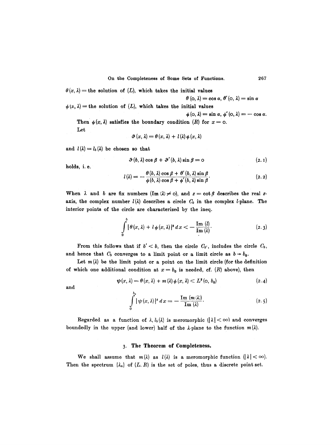$\theta(x, \lambda)$  = the solution of (L), which takes the initial values

$$
\theta\left(\mathbf{0},\lambda\right)=\cos\alpha,\,\theta^{\prime}\left(\mathbf{0},\,\lambda\right)=\sin\alpha
$$

 $\phi(x, \lambda)$  = the solution of  $(L)$ , which takes the initial values

 $\phi$  (o,  $\lambda$ ) = sin  $\alpha$ ,  $\phi'$  (o,  $\lambda$ ) = - cos  $\alpha$ .

Then  $\phi(x, \lambda)$  satisfies the boundary condition (R) for  $x = 0$ . Let

$$
\vartheta\left(x,\,\lambda\right)=\theta\left(x,\,\lambda\right)\,+\,l\left(\lambda\right)\phi\left(x,\,\lambda\right)
$$

and  $l(\lambda) = l_b(\lambda)$  be chosen so that

$$
\vartheta(b,\lambda)\cos\beta+\vartheta'(b,\lambda)\sin\beta=0 \qquad (2.1)
$$

holds, i.e.

$$
l(\lambda) = -\frac{\theta(b,\lambda)\cos\beta + \theta'(b,\lambda)\sin\beta}{\phi(b,\lambda)\cos\beta + \phi'(b,\lambda)\sin\beta}.
$$
\n(2.2)

When  $\lambda$  and b are fix numbers  $(\text{Im }(\lambda) \neq 0)$ , and  $z = \cot \beta$  describes the real zaxis, the complex number  $l(\lambda)$  describes a circle  $C_b$  in the complex *l*-plane. The interior points of the circle are characterized by the ineq.

$$
\int_{0}^{b} |\theta(x,\lambda) + l \phi(x,\lambda)|^2 dx < -\frac{\mathrm{Im} (l)}{\mathrm{Im} (\lambda)}.
$$
 (2.3)

From this follows that if  $b' < b$ , then the circle  $C_{b'}$ , includes the circle  $C_b$ , and hence that  $C_b$  converges to a limit point or a limit circle as  $b \rightarrow b_0$ .

Let  $m(\lambda)$  be the limit point or a point on the limit circle (for the definition of which one additional condition at  $x = b_0$  is needed, cf. (R) above), then

$$
\psi(x,\lambda) = \theta(x,\lambda) + m(\lambda)\phi(x,\lambda) < L^2(\mathfrak{0},\,b_0) \tag{2.4}
$$

and

$$
\int_{0}^{b_0} |\psi(x,\lambda)|^2 dx = -\frac{\operatorname{Im} (m(\lambda))}{\operatorname{Im} (\lambda)}.
$$
 (2.5)

Regarded as a function of  $\lambda$ ,  $l_b(\lambda)$  is meromorphic  $(|\lambda|<\infty)$  and converges boundedly in the upper (and lower) half of the  $\lambda$ -plane to the function  $m(\lambda)$ .

## 3. The Theorem of Completeness.

We shall assume that  $m(\lambda)$  as  $l(\lambda)$  is a meromorphic function  $(|\lambda|<\infty)$ . Then the spectrum  $\{\lambda_n\}$  of  $(L, R)$  is the set of poles, thus a discrete point set.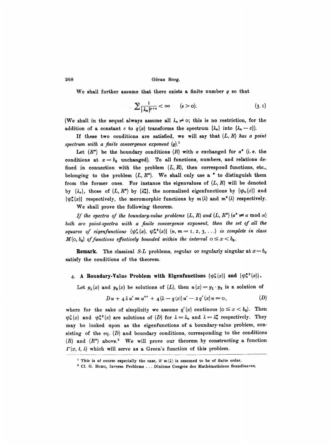We shall further assume that there exists a finite number  $\rho$  so that

$$
\sum_{\substack{1\\i \neq n}} \frac{1}{|\lambda_n|^{q+\epsilon}} < \infty \qquad (\epsilon > 0). \tag{3.1}
$$

(We shall in the sequel always assume all  $\lambda_n \neq 0$ ; this is no restriction, for the addition of a constant *c* to  $q(x)$  transforms the spectrum  $\{\lambda_n\}$  into  $\{\lambda_n - c\}$ .

If these two conditions are satisfied, we will say that  $(L, R)$  has a point spectrum with a finite convergence exponent  $(\rho)^1$ 

Let  $(R^*)$  be the boundary conditions  $(R)$  with  $\alpha$  exchanged for  $\alpha^*$  (i.e. the conditions at  $x = b_0$  unchanged). To all functions, numbers, and relations defined in connection with the problem  $(L, R)$ , then correspond functions, etc., belonging to the problem  $(L, R^*)$ . We shall only use a \* to distinguish them from the former ones. For instance the eigenvalues of  $(L, R)$  will be denoted by  $\{\lambda_n\}$ , those of  $(L, R^*)$  by  $\{\lambda_n^*\}$ , the normalized eigenfunctions by  $\{\psi_n(x)\}$  and  $\{\psi_n^*(x)\}\$  respectively, the meromorphic functions by  $m(\lambda)$  and  $m^*(\lambda)$  respectively.

We shall prove the following theorem.

*If the spectra of the boundary-value problems*  $(L, R)$  *and*  $(L, R^*)$  $(a^* \neq a \mod \pi)$ both are point-spectra with a finite convergence exponent, then the set of all the *squares of eigenfunctions*  $\{\psi_n^*(x), \psi_m^{*}(x)\}$   $(n, m = 1, 2, 3, \ldots)$  *is complete in class*  $M(\circ, b_0)$  of functions effectively bounded within the interval  $0 \leq x < b_0$ .

**Remark.** The classical *S-L* problems, regular or regularly singular at  $x = b_0$ satisfy the conditions of the theorem.

#### 4. A Boundary-Value Problem with Eigenfunctions  $\{\psi_n^{\alpha}(x)\}\$  and  $\{\psi_n^{\alpha\,2}(x)\}$ .

Let  $y_1(x)$  and  $y_2(x)$  be solutions of  $(L)$ , then  $u(x)=y_1\cdot y_2$  is a solution of

$$
D u + 4 \lambda u' \equiv u''' + 4(\lambda - q(x))u' - 2 q'(x)u = 0, \qquad (D)
$$

where for the sake of simplicity we assume  $q'(x)$  continuous ( $0 \leq x < b_0$ ). Then  $\psi_n^*(x)$  and  $\psi_n^{*2}(x)$  are solutions of (D) for  $\lambda = \lambda_n$  and  $\lambda = \lambda_n^*$  respectively. They may bo looked upon as the eigenfunctions of a boundary-value problem, consisting of the eq.  $(D)$  and boundary conditions, corresponding to the conditions  $(R)$  and  $(R^*)$  above.<sup>2</sup> We will prove our theorem by constructing a function  $\Gamma(x, t, \lambda)$  which will serve as a Green's function of this problem.

<sup>&</sup>lt;sup>1</sup> This is of course especially the case, if  $m(\lambda)$  is assumed to be of finite order.

<sup>&</sup>lt;sup>2</sup> Cf. G. BORG, Inverse Problems ... Dixième Congrès des Mathématiciens Scandinaves.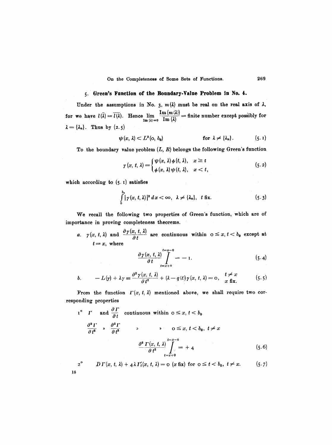#### **5. Green's Function of the Boundary.Value Problem In No. 4.**

Under the assumptions in No. 3,  $m(\lambda)$  must be real on the real axis of  $\lambda$ , for we have  $l(\lambda) = l(\lambda)$ . Hence  $\lim_{\text{Im }(\lambda) = 0} \frac{\lambda \ln \left(\frac{N(\lambda)}{N(\lambda)}\right)}{\ln (\lambda)} = \text{finite number except possibly for }$  $\lambda = {\lambda_n}$ . Thus by (2.5)

$$
\psi(x,\lambda) \subset L^2(\mathfrak{0},\, b_0) \qquad \qquad \text{for } \lambda \neq \{ \lambda_n \}. \qquad (5.1)
$$

To the boundary value problem  $(L, R)$  belongs the following Green's function

$$
\gamma(x, t, \lambda) = \begin{cases} \psi(x, \lambda) \phi(t, \lambda), & x \geq t \\ \phi(x, \lambda) \psi(t, \lambda), & x < t, \end{cases}
$$
 (5.2)

which according to (5. I) satisfies

**18** 

$$
\int_{0}^{b_0} |\gamma(x, t, \lambda)|^2 dx < \infty, \quad \lambda \neq {\lambda_n}, \quad t \text{ fix.}
$$
 (5.3)

We recall the following two properties of Green's function, which are of importance in proving completeness theorems.

a.  $\gamma(x, t, \lambda)$  and  $\frac{\partial \gamma(x, t, \lambda)}{\partial t}$  are continuous within  $0 \le x, t < b_0$  except at  $t = x$ , where

$$
\frac{\partial \gamma(x, t, \lambda)}{\partial t} \Big|_{t=x+0}^{t=x-0} = -1. \tag{5.4}
$$

$$
b. \qquad -L(\gamma) + \lambda \gamma \equiv \frac{\partial^2 \gamma(x, t, \lambda)}{\partial t^2} + (\lambda - q(t)) \gamma(x, t, \lambda) = 0, \quad \frac{t \neq x}{x \text{ fix.}} \qquad (5.5)
$$

From the function  $\Gamma(x, t, \lambda)$  mentioned above, we shall require two corresponding properties

$$
1^{\circ} \quad \Gamma \quad \text{and} \quad \frac{\partial \Gamma}{\partial t} \quad \text{continuous within} \quad 0 \le x, \, t < b_0
$$
\n
$$
\frac{\partial^2 \Gamma}{\partial t^2} \quad \text{and} \quad \frac{\partial^8 \Gamma}{\partial t^3} \quad \text{and} \quad \frac{\partial^8 \Gamma}{\partial t^3} \quad \text{and} \quad \frac{\partial^8 \Gamma(x, t, \lambda)}{\partial t^2} \bigg|_{t=x+0}^{t=x-0} = +4 \quad (5.6)
$$

$$
2^{\circ} \qquad D\Gamma(x,\,t,\,\lambda)+4\lambda\,I_{t}^{\prime}(x,\,t,\,\lambda)=\mathrm{o}\,\left(x\,\mathrm{fix}\right)\,\mathrm{for}\,\,\mathrm{o}\leq t
$$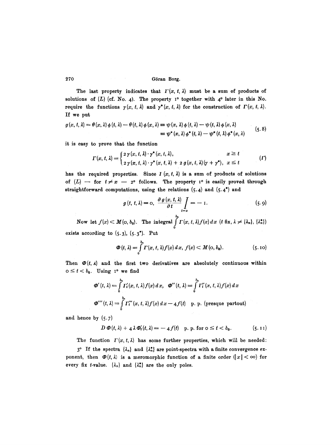The last property indicates that  $\Gamma(x, t, \lambda)$  must be a sum of products of solutions of  $(L)$  (cf. No. 4). The property 1<sup>o</sup> together with 4<sup>o</sup> later in this No. require the functions  $\gamma(x, t, \lambda)$  and  $\gamma^*(x, t, \lambda)$  for the construction of  $\Gamma(x, t, \lambda)$ . If we put

$$
g(x, t, \lambda) = \theta(x, \lambda) \phi(t, \lambda) - \theta(t, \lambda) \phi(x, \lambda) = \psi(x, \lambda) \phi(t, \lambda) - \psi(t, \lambda) \phi(x, \lambda)
$$
  
=  $\psi^*(x, \lambda) \phi^*(t, \lambda) - \psi^*(t, \lambda) \phi^*(x, \lambda)$  (5.8)

it is easy to prove that the function

$$
\Gamma(x, t, \lambda) = \begin{cases} 2 \gamma(x, t, \lambda) \cdot \gamma^*(x, t, \lambda), & x \geq t \\ 2 \gamma(x, t, \lambda) \cdot \gamma^*(x, t, \lambda) + 2 g(x, t, \lambda) (\gamma + \gamma^*), & x \leq t \end{cases} \tag{I}
$$

has the required properties. Since  $I(x, t, \lambda)$  is a sum of products of solutions of  $(L)$  - for  $t \neq x$  - 2° follows. The property 1° is easily proved through straightforward computations, using the relations  $(5.4)$  and  $(5.4^*)$  and

$$
g(t, t, \lambda) = 0, \quad \frac{\partial g(x, t, \lambda)}{\partial t} \bigg|_{t=x} = -1. \tag{5.9}
$$

*ba*  Now let  $f(x) \leq M(\infty, b_0)$ . The integral  $\int \Gamma(x, t, \lambda) f(x) dx$  (t fix,  $\lambda \neq {\lambda_n}, {\lambda_n^*}$ ) 0 exists according to  $(5.3)$ ,  $(5.3^*)$ . Put

$$
\Phi(t, \lambda) = \int_{0}^{b_0} \Gamma(x, t, \lambda) f(x) dx, f(x) < M(o, b_0).
$$
 (5.10)

Then  $\Phi(t, \lambda)$  and the first two derivatives are absolutely continuous within  $o \leq t < b_0$ . Using 1° we find

$$
\Phi'(t, \lambda) = \int_0^{b_0} \Gamma'_t(x, t, \lambda) f(x) dx, \quad \Phi''(t, \lambda) = \int_0^{b_0} \Gamma''_t(x, t, \lambda) f(x) dx
$$
  

$$
\Phi'''(t, \lambda) = \int_0^{b_0} \Gamma''_t(x, t, \lambda) f(x) dx - 4 f(t) \quad \text{p. p. (pressure partout)}
$$

and hence by  $(5.7)$ 

$$
D \boldsymbol{\Phi}(t,\lambda) + 4 \lambda \boldsymbol{\Phi}'_t(t,\lambda) = -4 f(t) \quad \text{p. p. for } 0 \leq t < b_0. \tag{5.11}
$$

The function  $\Gamma(x, t, \lambda)$  has some further properties, which will be needed:

 $3^{\circ}$  If the spectra  $\{\lambda_n\}$  and  $\{\lambda_n^*\}$  are point-spectra with a finite convergence exponent, then  $\Phi(t, \lambda)$  is a meromorphic function of a finite order  $(|x| < \infty)$  for every fix *t*-value.  $\{\lambda_n\}$  and  $\{\lambda_n^*\}$  are the only poles.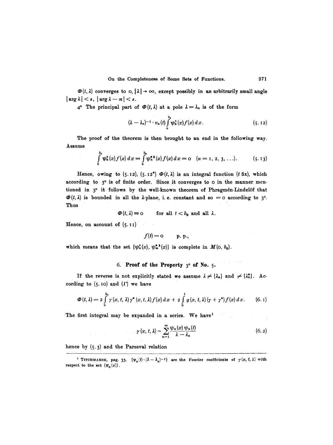$\mathcal{D}(t,\lambda)$  converges to  $o, |\lambda| \to \infty$ , except possibly in an arbitrarily small angle  $|\arg \lambda| < \varepsilon$ ,  $|\arg \lambda - \pi| < \varepsilon$ .

 $4^{\circ}$  The principal part of  $\Phi(t, \lambda)$  at a pole  $\lambda = \lambda_n$  is of the form

$$
(\lambda - \lambda_n)^{-1} \cdot v_n(t) \int_0^{b_0} \psi_n^2(x) f(x) dx.
$$
 (5.12)

The proof of the theorem is then brought to an end in the following way. Assume

$$
\int_{0}^{b_0} \psi_n^{\bullet}(x) f(x) dx = \int_{0}^{b_0} \psi_n^{\bullet \, \mathbf{a}}(x) f(x) dx = 0 \quad (n = 1, 2, 3, \ldots). \tag{5.13}
$$

Hence, owing to (5.12), (5.12<sup>\*</sup>)  $\Phi(t, \lambda)$  is an integral function (t fix), which according to  $3^\circ$  is of finite order. Since it converges to  $\circ$  in the manner mentioned in  $3^{\circ}$  it follows by the well-known theorem of Phragmén-Lindelöf that  $\Phi(t, \lambda)$  is bounded in all the *λ*-plane, i.e. constant and so = 0 according to 3<sup>o</sup>. Thus

$$
\Phi(t,\lambda) \equiv 0 \quad \text{for all } t < b_0 \text{ and all } \lambda.
$$

Hence, on account of  $(5.11)$ 

$$
f(t) = o \qquad p. p.,
$$

which means that the set  $\{\psi_n^2(x), \psi_m^{*\,2}(x)\}$  is complete in  $M(\infty, b_0)$ .

## 6. Proof of the Property  $3^{\circ}$  of No. 5.

If the reverse is not explicitly stated we assume  $\lambda \neq {\lambda_n}$  and  $\neq {\lambda_n}$ . Ac cording to  $(5.10)$  and  $(\Gamma)$  we have

$$
\Phi(t,\lambda) = 2\int_{0}^{b_0} \gamma(x,t,\lambda) \gamma^*(x,t,\lambda) f(x) dx + 2\int_{0}^{t} g(x,t,\lambda) (\gamma + \gamma^*) f(x) dx.
$$
 (6.1)

The first integral may be expanded in a series. We have<sup>1</sup>

$$
\gamma(x, t, \lambda) \sim \sum_{n=1}^{\infty} \frac{\psi_n(x) \psi_n(t)}{\lambda - \lambda_n}
$$
 (6.2)

hence by (5-3) and the Parseval relation

<sup>&</sup>lt;sup>1</sup> TITCHMARSH, pag. 33.  ${\psi_n(t) \cdot (\lambda - \lambda_n)^{-1}}$  are the Fourier coefficients of  $\gamma(x, t, \lambda)$  with respect to the set  ${ \psi_n(x) }$ .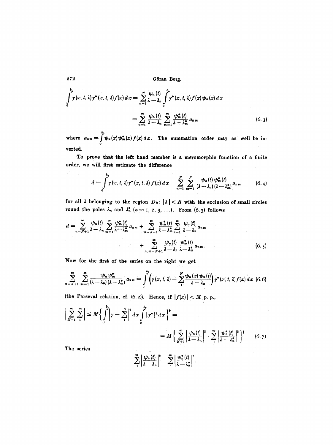$$
\int_{0}^{b_{o}} \gamma(x, t, \lambda) \gamma^{*}(x, t, \lambda) f(x) dx = \sum_{n=1}^{\infty} \frac{\psi_{n}(t)}{\lambda - \lambda_{n}} \int_{0}^{b_{o}} \gamma^{*}(x, t, \lambda) f(x) \psi_{n}(x) dx
$$

$$
= \sum_{n=1}^{\infty} \frac{\psi_{n}(t)}{\lambda - \lambda_{n}} \sum_{m=1}^{\infty} \frac{\psi_{m}^{*}(t)}{\lambda - \lambda_{m}^{*}} a_{n m} \qquad (6.3)
$$

where  $a_{nm} = \int_{0}^{\infty} \psi_n(x) \psi_m^*(x) f(x) dx$ . The summation order may as well be in $v$ erted.

**To prove that the left hand member is a meromorphic function of a finite order, we will first estimate the difference** 

$$
d = \int_{0}^{b_0} \gamma(x, t, \lambda) \gamma^*(x, t, \lambda) f(x) dx - \sum_{n=1}^{N} \sum_{m=1}^{N} \frac{\psi_n(t) \psi_m^*(t)}{(\lambda - \lambda_n) (\lambda - \lambda_m^*)} a_{nm}
$$
(6.4)

for all  $\lambda$  belonging to the region  $D_R$ :  $|\lambda| < R$  with the exclusion of small circles round the poles  $\lambda_n$  and  $\lambda_n^*$   $(n = 1, 2, 3, \ldots)$ . From  $(6.3)$  follows

$$
d = \sum_{n=N+1}^{\infty} \frac{\psi_n(t)}{\lambda - \lambda_n} \sum_{m=1}^{\infty} \frac{\psi_m^*(t)}{\lambda - \lambda_m^*} a_{nm} + \sum_{m=N+1}^{\infty} \frac{\psi_m^*(t)}{\lambda - \lambda_m^*} \sum_{n=1}^{\infty} \frac{\psi_n(t)}{\lambda - \lambda_n} a_{nm} + \sum_{n,m=N+1}^{\infty} \frac{\psi_n(t)}{\lambda - \lambda_n} \frac{\psi_m^*(t)}{\lambda - \lambda_m^*} a_{nm}.
$$
 (6.5)

**Now for the first of the series on the right we get** 

$$
\sum_{n=N+1}^{\infty} \sum_{m=1}^{\infty} \frac{\psi_n \psi_m^*}{(\lambda - \lambda_n) (\lambda - \lambda_m^*)} a_{nm} = \int_0^{b_0} \left( \gamma(x, t, \lambda) - \sum_{n=1}^N \frac{\psi_n(x) \psi_n(t)}{\lambda - \lambda_n} \right) \gamma^*(x, t, \lambda) f(x) dx \tag{6.6}
$$

(the Parseval relation, cf.  $(6.2)$ ). Hence, if  $|f(x)| < M$  p. p.,

$$
\left|\sum_{N+1}^{\infty}\sum_{1}^{\infty}\right| \leq M \left\{\int_{0}^{b_{0}}\left|\gamma-\sum_{1}^{N}\right|^{2}dx\int_{0}^{b_{0}}|\gamma^{*}|^{2}dx\right\}^{*} = M \left\{\sum_{N+1}^{\infty}\left|\frac{\psi_{n}(t)}{\lambda-\lambda_{n}}\right|^{2} \cdot \sum_{1}^{\infty}\left|\frac{\psi_{n}^{*}(t)}{\lambda-\lambda_{n}^{*}}\right|^{2}\right\}^{*} \quad (6.7)
$$
  
The series

**The series** 

$$
\sum_{1}^{\infty}\left|\frac{\psi_n(t)}{\lambda-\lambda_n}\right|^2, \quad \sum_{1}^{\infty}\left|\frac{\psi_n^*(t)}{\lambda-\lambda_n^*}\right|^2,
$$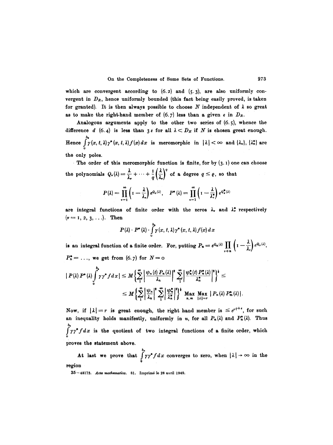which are convergent according to  $(6.2)$  and  $(5.3)$ , are also uniformly convergent in  $D_R$ , hence uniformly bounded (this fact being easily proved, is taken for granted). It is then always possible to choose  $N$  independent of  $\lambda$  so great as to make the right-hand member of  $(6.7)$  less than a given  $\varepsilon$  in  $D_R$ .

Analogous arguments apply to the other two series of  $(6.5)$ , whence the difference d (6.4) is less than  $3 \epsilon$  for all  $\lambda < D_R$  if N is chosen great enough.  $b_{\bf 0}$ Hence  $\int_{0}^{\infty} \gamma(x, t, \lambda) \gamma^{*}(x, t, \lambda) f(x) dx$  is meromorphic in  $|\lambda| < \infty$  and  $\{\lambda_{n}\}, \{\lambda_{n}^{*}\}$  are

the only poles.

The order of this meromorphic function is finite, for by  $(3.1)$  one can choose the polynomials  $Q_{\nu}(\lambda) = \frac{\lambda}{\lambda_{\nu}} + \cdots + \frac{1}{q} \left(\frac{\lambda}{\lambda_{\nu}}\right)^q$  of a degree  $q \leq \varrho$ , so that

$$
P(\lambda) = \prod_{\nu=1}^{\infty} \left(1 - \frac{\lambda}{\lambda_{\nu}}\right) e^{Q_{\nu}(\lambda)}, \quad P^*(\lambda) = \prod_{\nu=1}^{\infty} \left(1 - \frac{\lambda}{\lambda_{\nu}^*}\right) e^{Q_{\nu}^*(\lambda)}
$$

are integral functions of finite order with the zeros  $\lambda_r$  and  $\lambda_r^*$  respectively  $(\nu = 1, 2, 3, \ldots).$  Then

$$
P(\lambda) \cdot P^*(\lambda) \cdot \int_0^{b_0} \gamma(x, t, \lambda) \gamma^*(x, t, \lambda) f(x) dx
$$

is an integral function of a finite order. For, putting  $P_n = e^{Q_n(\lambda)} \prod_{n \neq n} \left( I - \frac{\lambda}{\lambda_n} \right) e^{Q_n(\lambda)},$  $P_n^* = \ldots$ , we get from  $(6.7)$  for  $N=0$ 

$$
\begin{split} \mid P(\lambda) \, P^*(\lambda) \int_0^{\infty} \gamma \, \gamma^* f \, dx \, \vert \leq M \left\{ \sum_{1}^{\infty} \left| \frac{\psi_n(t) \, P_n(\lambda)}{\lambda_n} \right|^2 \, \sum_{1}^{\infty} \left| \frac{\psi_n^*(t) \, P_n^*(\lambda)}{\lambda_n^*} \right|^2 \right\}^{\mathbf{i}} \leq \\ & \leq M \left\{ \sum_{1}^{\infty} \left| \frac{\psi_n}{\lambda_n} \right|^2 \, \sum_{1}^{\infty} \left| \frac{\psi_n^*}{\lambda_n^*} \right|^2 \right\}^{\mathbf{i}} \, \max_{n,m} \, \max_{\vert \lambda \vert = r} \, |P_n(\lambda) \, P_m^*(\lambda)| \, . \end{split}
$$

Now, if  $|\lambda|=r$  is great enough, the right hand member is  $\leq e^{r\ell+s}$ , for such an inequality holds manifestly, uniformly in n, for all  $P_n(\lambda)$  and  $P_n^{\bullet}(\lambda)$ . Thus  $\int_{0}^{b_{0}} \gamma \gamma^{*} f dx$  is the quotient of two integral functions of a finite order, which proves the statement above.

At last we prove that  $\int_{0}^{b_0} \gamma \gamma^* f dx$  converges to zero, when  $|\lambda| \to \infty$  in the region

<sup>35-48173.</sup> Acta mathematica. 81. Imprimé le 28 avril 1949.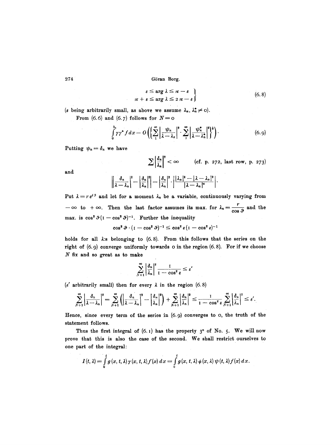$$
\varepsilon \leq \arg \lambda \leq \pi - \varepsilon
$$
  
\n
$$
\pi + \varepsilon \leq \arg \lambda \leq 2 \pi - \varepsilon
$$
\n(6.8)

(*e* being arbitrarily small, as above we assume  $\lambda_n$ ,  $\lambda_n^* \neq 0$ ).

From (6.6) and (6.7) follows for  $N=$  0

$$
\int_{0}^{b_{0}} \gamma \gamma^{*} f dx = O\left(\left\{\sum_{1}^{\infty} \left|\frac{\psi_{n}}{\lambda - \lambda_{n}}\right|^{2} \cdot \sum_{1}^{\infty} \left|\frac{\psi_{n}^{*}}{\lambda - \lambda_{n}^{*}}\right|^{2}\right\}\right).
$$
 (6.9)

Putting  $\psi_n = \delta_n$  we have

$$
\sum \left|\frac{\delta_n}{\lambda_n}\right|^2 < \infty \quad \text{(cf. p. 272, last row, p. 273)}
$$

and

$$
\left\|\frac{\delta_n}{\lambda-\lambda_n}\right|^2-\left|\frac{\delta_n}{\lambda_n}\right|^2\right|=\left|\frac{\delta_n}{\lambda_n}\right|^2\cdot\left|\frac{|\lambda_n|^2-|\lambda-\lambda_n|^2}{|\lambda-\lambda_n|^2}\right|.
$$

Put  $\lambda = r e^{i \theta}$  and let for a moment  $\lambda_n$  be a variable, continuously varying from  $-\infty$  to  $+\infty$ . Then the last factor assumes its max. for  $\lambda_n = \frac{r}{\cos \vartheta}$  and the max. is  $\cos^2 \theta (1-\cos^2 \theta)^{-1}$ . Further the inequality

$$
\cos^2\vartheta\cdot(\textrm{I}-\cos^2\vartheta)^{-1}\leq\cos^2\epsilon(\textrm{I}-\cos^2\epsilon)^{-1}
$$

holds for all  $\lambda$ :s belonging to  $(6.8)$ . From this follows that the series on the right of (6.9) converge uniformly towards o in the region (6.8). For if we choose  $N$  fix and so great as to make

$$
\sum_{N+1}^{\infty} \left| \frac{\delta_n}{\lambda_n} \right|^2 \frac{1}{1 - \cos^2 \varepsilon} \leq \varepsilon'
$$

 $(\epsilon'$  arbitrarily small) then for every  $\lambda$  in the region (6.8)

$$
\sum_{N+1}^{\infty} \left| \frac{\delta_n}{\lambda - \lambda_n} \right|^2 = \sum_{N+1}^{\infty} \left( \left| \frac{\delta_n}{\lambda - \lambda_n} \right|^2 - \left| \frac{\delta_n}{\lambda_n} \right|^2 \right) + \sum_{N+1}^{\infty} \left| \frac{\delta_n}{\lambda_n} \right|^2 \le \frac{1}{1 - \cos^2 \varepsilon} \sum_{N+1}^{\infty} \left| \frac{\delta_n}{\lambda_n} \right|^2 \le \varepsilon'.
$$

Hence, since every term of the series in (6.9) converges to o, the truth of the statement follows.

Thus the first integral of  $(6.1)$  has the property  $3^{\circ}$  of No. 5. We will now prove that this is also the case of the second. We shall restrict ourselves to one part of the integral:

$$
I(t,\lambda)=\int\limits_0^t g(x,t,\lambda)\gamma(x,t,\lambda)f(x)\,dx=\int\limits_0^t g(x,t,\lambda)\,\phi(x,\lambda)\,\psi(t,\lambda)f(x)\,dx.
$$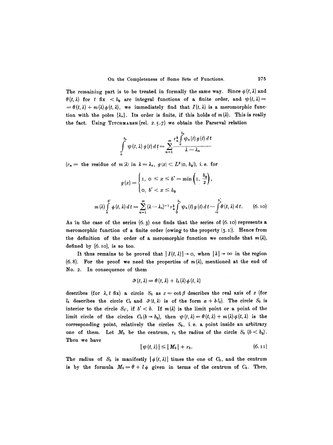The remaining part is to be treated in formally the same way. Since  $\phi(t, \lambda)$  and  $\theta(t, \lambda)$  for t fix  **are integral functions of a finite order, and**  $\psi(t, \lambda)$  $= \theta(t, \lambda) + m(\lambda) \phi(t, \lambda)$ , we immediately find that  $I(t, \lambda)$  is a meromorphic function with the poles  $\{\lambda_n\}$ . Its order is finite, if this holds of  $m(\lambda)$ . This is really the fact. Using TITCHMARSH (rel. 2.5.7) we obtain the Parseval relation

$$
\int\limits_{0}^{b_0}\psi(t,\lambda) g(t)\,dt=\sum\limits_{n=1}^{\infty}\frac{r_n^{\frac{1}{n}}\int\limits_{0}^{b_0}\psi_n(t) g(t)\,dt}{\lambda-\lambda_n}
$$

 $(r_n=$  the residue of  $m(\lambda)$  in  $\lambda=\lambda_n, g(x)< L^2(0, b_0)$ , i.e. for

$$
g(x) = \begin{cases} 1, & 0 \le x \le b' = \min\left(1, \frac{b_0}{2}\right), \\ 0, & b' < x \le b_0 \end{cases}
$$
\n
$$
m(\lambda) \int_0^{b'} \phi(t, \lambda) \, dt = \sum_{n=1}^{\infty} (\lambda - \lambda_n)^{-1} r_n^{\frac{1}{b}} \int_0^{b_0} \psi_n(t) \, g(t) \, dt - \int_0^{b_0'} \theta(t, \lambda) \, dt. \tag{6.10}
$$

As in the case of the series  $(6, 3)$  one finds that the series of  $(6.10)$  represents a meromorphic function of a finite order (owing to the property  $(3.1)$ ). Hence from the definition of the order of a meromorphic function we conclude that  $m(\lambda)$ , defined by  $(6.10)$ , is so too.

It thus remains to be proved that  $|I(t, \lambda)| \rightarrow o$ , when  $|\lambda| \rightarrow \infty$  in the region  $(6.8)$ . For the proof we need the properties of  $m(\lambda)$ , mentioned at the end of No. 2. In consequence of them

$$
\vartheta(t,\lambda)=\theta(t,\lambda)+l_b(\lambda)\varphi(t,\lambda)
$$

describes (for  $\lambda$ , t fix) a circle  $S_b$  as  $z = \cot \beta$  describes the real axis of z (for  $l_b$  describes the circle  $C_b$  and  $\vartheta(t, \lambda)$  is of the form  $a + bl_b$ ). The circle  $S_b$  is interior to the circle  $S_{b'}$ , if  $b' < b$ . If  $m(\lambda)$  is the limit point or a point of the limit circle of the circles  $C_b (b \rightarrow b_0)$ , then  $\psi(t, \lambda) = \theta(t, \lambda) + m(\lambda) \phi(t, \lambda)$  is the corresponding point, relatively the circles  $S_b$ , i.e. a point inside an arbitrary one of them. Let  $M_b$  be the centrum,  $r_b$  the radius of the circle  $S_b$   $(b < b_0)$ . Then we have

$$
|\psi(t,\lambda)| \leq |M_b| + r_b. \tag{6.11}
$$

The radius of  $S_b$  is manifestly  $|\phi(t, \lambda)|$  times the one of  $C_b$ , and the centrum is by the formula  $M_b=\theta+l\phi$  given in terms of the centrum of  $C_b$ . Then,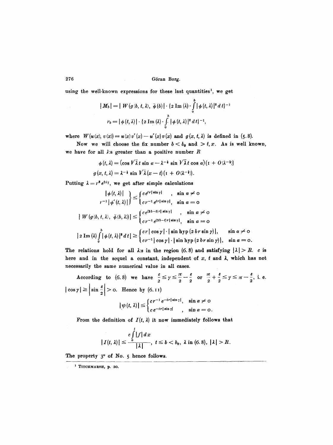using the well-known expressions for these last quantities<sup>1</sup>, we get

$$
|M_b| = |W(g(b, t, \lambda), \bar{\phi}(b)| \cdot \{2 \text{ Im}(\lambda) \cdot \int_0^b |\phi(t, \lambda)|^2 dt\}^{-1}
$$

$$
r_b = |\phi(t, \lambda)| \cdot \{2 \text{ Im}(\lambda) \cdot \int_0^b |\phi(t, \lambda)|^2 dt\}^{-1},
$$

where  $W(u(x), v(x)) = u(x)v'(x) - u'(x)v(x)$  and  $g(x, t, \lambda)$  is defined in (5.8).

Now we will choose the fix number  $b < b_0$  and  $b < x$ . As is well known, we have for all  $\lambda$ :s greater than a positive number  $R$ 

$$
\phi(t,\lambda) = (\cos V \bar{\lambda} t \sin \alpha - \lambda^{-\frac{1}{2}} \sin V \bar{\lambda} t \cos \alpha)(1 + O(\lambda^{-\frac{1}{2}}))
$$

$$
g(x, t, \lambda) = \lambda^{-\frac{1}{2}} \sin V \bar{\lambda}(x - t)(1 + O(\lambda^{-\frac{1}{2}})).
$$

Putting  $\lambda = r^2 e^{2i\gamma}$ , we get after simple calculations

$$
\left|\phi(t,\lambda)\right|_{r^{-1}\left|\phi'(t,\lambda)\right|}\right| \leq \begin{cases} ce^{rt|\sin\gamma|} , & \sin\alpha \neq 0 \\ c r^{-1} e^{tr|\sin\gamma|} , & \sin\alpha = 0 \end{cases}
$$
  
\n
$$
\left|W\left(g(b,t,\lambda), \overline{\phi}(b,\lambda)\right)\right| \leq \begin{cases} ce^{(2b-t)r|\sin\gamma|} , & \sin\alpha \neq 0 \\ cr^{-1} e^{(2b-t)r|\sin\gamma|} , & \sin\alpha = 0 \end{cases}
$$
  
\n
$$
\left|2 \operatorname{Im}(\lambda) \int_{0}^{b} |\phi(t,\lambda)|^{2} dt \right| \geq \begin{cases} cr \left| \cos\gamma \right| \cdot \left| \sin\mathrm{hyp}\left(2 \, br \sin\gamma\right) \right|, & \sin\alpha \neq 0 \\ cr^{-1} \left| \cos\gamma \right| \cdot \left| \sin\mathrm{hyp}\left(2 \, br \sin\gamma\right) \right|, & \sin\alpha = 0. \end{cases}
$$

The relations hold for all  $\lambda$ :s in the region (6.8) and satisfying  $|\lambda| > R$ . c is here and in the sequel a constant, independent of  $x$ ,  $t$  and  $\lambda$ , which has not necessarily the same numerical value in all cases.

According to (6.8) we have  $\frac{1}{2} \leq \gamma \leq \frac{1}{2} - \frac{1}{2}$  or  $\frac{1}{2} + \frac{1}{2} \leq \gamma \leq \pi - \frac{1}{2}$ , i.e.  $|\cos \gamma| \ge \left|\sin \frac{\varepsilon}{2}\right| > 0$ . Hence by (6.11)  $\int (c r^{-1} e^{-tr |\sin \gamma|}, \sin \alpha \neq 0$ 

$$
|\psi(t,\lambda)| \leq \begin{cases} e^{-t r |\sin \gamma|} & , \sin \alpha = 0. \end{cases}
$$

From the definition of  $I(t, \lambda)$  it now immediately follows that

$$
|I(t,\lambda)| \leq \frac{c \int\limits_0^t |f| dx}{|\lambda|}, \ t \leq b < b_0, \ \lambda \text{ in (6.8), } |\lambda| > R.
$$

The property  $3^{\circ}$  of No. 5 hence follows.

 $\sim$ 

<sup>&</sup>lt;sup>1</sup> TITCHMARSH, p. 20.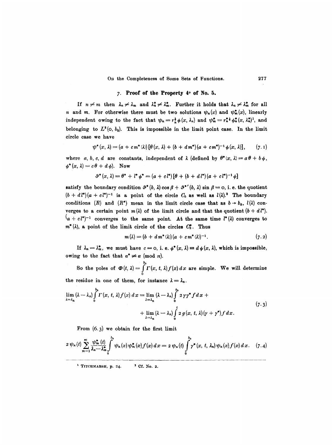## 7. Proof of the Property 4° of No. 5.

If  $n \neq m$  then  $\lambda_n \neq \lambda_m$  and  $\lambda_n^* \neq \lambda_m^*$ . Further it holds that  $\lambda_n \neq \lambda_m^*$  for all n and m. For otherwise there must be two solutions  $\psi_n(x)$  and  $\psi_m^*(x)$ , linearly independent owing to the fact that  $\psi_n=r_n^{\frac{1}{2}}\phi(x, \lambda_n)$  and  $\psi_m^* = r_n^{\frac{1}{2}}\phi_n^*(x, \lambda_n^*)^1$ , and belonging to  $L^2(0, b_0)$ . This is impossible in the limit point case. In the limit circle case we have

$$
\psi^*(x,\lambda)=(a+cm^*(\lambda))\left[\theta(x,\lambda)+(b+dm^*)(a+cm^*)^{-1}\phi(x,\lambda)\right],\qquad(7.1)
$$

where a, b, c, d are constants, independent of  $\lambda$  (defined by  $\theta^*(x, \lambda) = a\theta + b\phi$ ,  $\phi^*(x, \lambda) = c \theta + d \phi$ ). Now

$$
\vartheta^*(x,\lambda) = \theta^* + l^* \phi^* = (a + c l^*) [\theta + (b + d l^*) (a + c l^*)^{-1} \phi]
$$

satisfy the boundary condition  $\vartheta^*(b, \lambda)$  cos  $\beta + \vartheta^{*'}(b, \lambda)$  sin  $\beta = 0$ , i. e. the quotient  $(b + d l^*)(a + c l^*)^{-1}$  is a point of the circle  $C_b$  as well as  $l(\lambda)$ .<sup>2</sup> The boundary conditions (R) and (R\*) mean in the limit circle case that as  $b \rightarrow b_0$ ,  $l(\lambda)$  converges to a certain point  $m(\lambda)$  of the limit circle and that the quotient  $(b + d l^*)$ .  $(a + c l^*)^{-1}$  converges to the same point. At the same time  $l^*(\lambda)$  converges to  $m^*(\lambda)$ , a point of the limit circle of the circles  $C_b^*$ . Thus

$$
m(\lambda) = (b + d m^*(\lambda)) (a + c m^*(\lambda))^{-1}.
$$
 (7.2)

If  $\lambda_n = \lambda_m^*$ , we must have  $c = 0$ , i. e.  $\phi^*(x, \lambda) \equiv d \phi(x, \lambda)$ , which is impossible, owing to the fact that  $\alpha^* \neq \alpha \pmod{\pi}$ .

 $b_{0}$ So the poles of  $\boldsymbol{\Phi}(t, \lambda) = \int \Gamma(x, t, \lambda) f(x) dx$  are simple. We will determine 0 the residue in one of them, for instance  $\lambda = \lambda_n$ .

$$
\lim_{\lambda=\lambda_n} (\lambda-\lambda_n) \int_0^{b_n} \Gamma(x, t, \lambda) f(x) dx = \lim_{\lambda=\lambda_n} (\lambda-\lambda_n) \int_0^{b_n} 2 \gamma \gamma^* f dx +
$$
\n
$$
+ \lim_{\lambda=\lambda_n} (\lambda-\lambda_n) \int_0^t 2 g(x, t, \lambda) (\gamma + \gamma^*) f dx.
$$
\n(7.3)

From  $(6.3)$  we obtain for the first limit

$$
2 \psi_n(t) \sum_{m=1}^{\infty} \frac{\psi_m^*(t)}{\lambda_n - \lambda_m^*} \int_0^{b_0} \psi_n(x) \psi_m^*(x) f(x) dx = 2 \psi_n(t) \int_0^{b_0} \gamma^*(x, t, \lambda_n) \psi_n(x) f(x) dx. \quad (7.4)
$$

 $1$  TITCHMARSH, p. 24.  $3$  Cf. No. 2.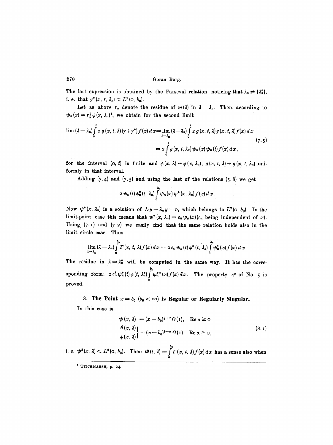The last expression is obtained by the Parseval relation, noticing that  $\lambda_n \neq {\lambda_n^*}$ , i. e. that  $\gamma^*(x, t, \lambda_n) \subset L^2(0, b_0)$ .

Let as above  $r_n$  denote the residue of  $m(\lambda)$  in  $\lambda = \lambda_n$ . Then, according to  $\psi_n(x)= r_n^{\frac{1}{2}}\phi(x, \lambda_n)^1$ , we obtain for the second limit

$$
\lim ( \lambda - \lambda_n ) \int_0^t z g(x, t, \lambda) (\gamma + \gamma^*) f(x) dx = \lim_{\lambda \to \lambda_n} ( \lambda - \lambda_n ) \int_0^t z g(x, t, \lambda) \gamma (x, t, \lambda) f(x) dx
$$
  
=  $2 \int_0^t g(x, t, \lambda_n) \psi_n(x) \psi_n(t) f(x) dx,$  (7.5)

for the interval  $(o, t)$  is finite and  $\phi(x, \lambda) \rightarrow \phi(x, \lambda_n)$ ,  $g(x, t, \lambda) \rightarrow g(x, t, \lambda_n)$  uniformly in that interval.

Adding  $(7.4)$  and  $(7.5)$  and using the last of the relations  $(5.8)$  we get

$$
2 \psi_n(t) \phi_n^*(t, \lambda_n) \int_0^{b_n} \psi_n(x) \psi^*(x, \lambda_n) f(x) dx.
$$

Now  $\psi^*(x, \lambda_n)$  is a solution of  $Ly-\lambda_ny=0$ , which belongs to  $L^2(0, b_0)$ . In the limit-point case this means that  $\psi^*(x, \lambda_n) = c_n \psi_n(x)(c_n)$  being independent of x). Using.  $(7.1)$  and  $(7.2)$  we easily find that the same relation holds also in the limit circle case. Thus

$$
\lim_{\lambda\to\lambda_n}(\lambda-\lambda_n)\int_0^{b_n}\Gamma(x,\,t,\,\lambda)f(x)\,dx=2\,c_n\,\psi_n(t)\,\phi^*\,(t,\,\lambda_n)\int_0^{b_n}\psi_n^2(x)f(x)\,dx.
$$

The residue in  $\lambda = \lambda_n^*$  will be computed in the same way. It has the correbo sponding form:  $2 c_n^* \psi_n^*(t) \phi(t, \lambda_n^*) \psi_n^{*2}(x) f(x) dx$ . The property  $4^{\circ}$  of No. 5 is 0 proved.

8. The Point  $x = b_0$   $(b_0 < \infty)$  is Regular or Regularly Singular.

In this case is

$$
\psi(x, \lambda) = (x - b_0)^{1+\sigma} O(1), \quad \text{Re } \sigma \ge 0
$$
  
\n
$$
\theta(x, \lambda) = (x - b_0)^{1-\sigma} O(1) \quad \text{Re } \sigma \ge 0,
$$
  
\n
$$
\phi(x, \lambda) = (x - b_0)^{1-\sigma} O(1) \quad \text{Re } \sigma \ge 0,
$$
\n(8.1)

i. e.  $\psi^2(x, \lambda) \subset L^2(0, b_0)$ . Then  $\boldsymbol{\Phi}(t, \lambda) = \int_0^{b_0} \Gamma(x, t, \lambda) f(x) dx$  has a sense also when

 $1$  TITCHMARSH, p. 24.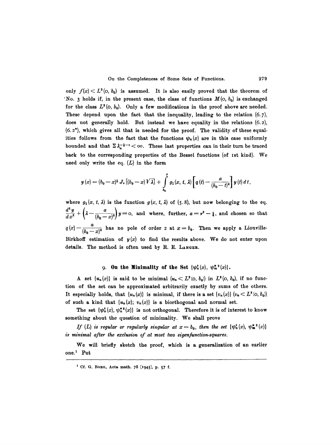only  $f(x) < L^2(0, b_0)$  is assumed. It is also easily proved that the theorem of "No. 3 holds if, in the present case, the class of functions  $M(o, b_0)$  is exchanged for the class  $L^2(0, b_0)$ . Only a few modifications in the proof above are needed. These depend upon the fact that the inequality, leading to the relation  $(6.7)$ , does not generally hold. But instead we have equality in the relations (5.2),  $(6.2^*)$ , which gives all that is needed for the proof. The validity of these equalities follows from the fact that the functions  $\psi_n(x)$  are in this case uniformly bounded and that  $\sum \lambda_n^{-1-\epsilon} < \infty$ . These last properties can in their turn be traced back to the corresponding properties of the Bessel functions (of Ist kind). We need only write the eq.  $(L)$  in the form

$$
y(x) = (b_0 - x)^{\frac{1}{2}} J_{\nu} [(b_0 - x) \sqrt{\lambda}] + \int_{b_0}^{x} g_1(x, t, \lambda) \left[ q(t) - \frac{a}{(b_0 - t)^2} \right] y(t) dt,
$$

where  $g_1(x, t, \lambda)$  is the function  $g(x, t, \lambda)$  of (5.8), but now belonging to the eq.  $\left(\frac{d^2y}{dx^2}+\left(\lambda-\frac{a}{(b_0-x)^2}\right)y=0$ , and where, further,  $a=\nu^2-1$ , and chosen so that  $q(x) - \frac{a}{(b-a)^2}$  has no pole of order 2 at  $x = b_0$ . Then we apply a Liouville-Birkhoff estimation of  $y(x)$  to find the results above. We do not enter upon details. The method is often used by R. E. LANGER.

## 9. On the Minimality of the Set  $\{\psi_n^2(x), \psi_m^{*2}(x)\}.$

A set  $\{u_n(x)\}\$ is said to be minimal  $(u_n \subset L^2(0, b_0))$  in  $L^2(0, b_0)$ , if no function of the set can be approximated arbitrarily exactly by sums of the others. It especially holds, that  $\{u_n(x)\}\$ is minimal, if there is a set  $\{v_n(x)\}\ (v_n \subset L^2(\infty, b_0))$ of such a kind that  $\{u_n(x); v_n(x)\}$  is a biorthogonal and normal set.

The set  $\{\psi_n^{\bullet}(x), \psi_n^{\bullet}(x)\}$  is not orthogonal. Therefore it is of interest to know something about the question of minimality. We shall prove

*If* (*L*) is regular or regularly singular at  $x = b_0$ , then the set  $\{\psi_n^2(x), \psi_m^{* \, 2}(x)\}$ *is minimal after the exclusion of at most two eigenfunetion-squares.* 

We will briefly sketch the proof, which is a generalization of an earlier one.<sup>1</sup> Put

t Cf. G. BORG, Acta math. 78 (I945), p. 57 f.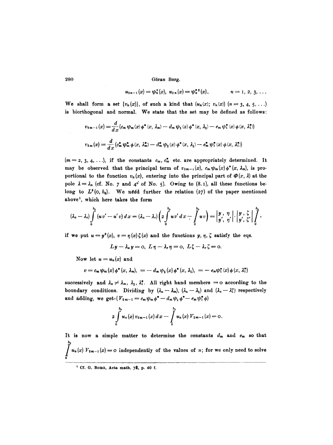$u_{2n-1}(x) = \psi_n^2(x), u_{2n}(x) = \psi_n^{*2}(x),$   $n = 1, 2, 3, ...$ 

We shall form a set  $\{v_n(x)\}\$ , of such a kind that  $(u_n(x); v_n(x))$   $(n = 3, 4, 5, \ldots)$ is biorthogonal and normal. We state that the set may be defined as follows:

$$
v_{2m-1}(x) = \frac{d}{dx}(c_m \psi_m(x) \phi^*(x, \lambda_m) - d_m \psi_1(x) \phi^*(x, \lambda_1) - e_m \psi_1^*(x) \phi(x, \lambda_1^*))
$$
  

$$
v_{2m}(x) = \frac{d}{dx}(c_m^* \psi_m^* \phi(x, \lambda_m^*) - d_m^* \psi_1(x) \phi^*(x, \lambda_1) - e_m^* \psi_1^*(x) \phi(x, \lambda_1^*))
$$

 $(m= 2, 3, 4, \ldots)$ , if the constants  $c_m$ ,  $c_m^*$  etc. are appropriately determined. It may be observed that the principal term of  $v_{2m-1}(x)$ ,  $c_m \psi_m(x) \phi^*(x, \lambda_m)$ , is proportional to the function  $v_n(x)$ , entering into the principal part of  $\Phi(x, \lambda)$  at the pole  $\lambda = \lambda_n$  (cf. No. 7 and 4° of No. 5). Owing to (8.1), all these functions belong to  $L^2(0, b_0)$ . We need further the relation (27) of the paper mentioned above<sup>1</sup>, which here takes the form

$$
(\lambda_u-\lambda_v)\int\limits_{0}^{b_0}(uv'-u'v)\,dx=(\lambda_u-\lambda_v)\bigg(z\int\limits_{0}^{b_0}uv'\,dx-\int\limits_{0}^{b_0}uv\bigg)=\bigg|\begin{matrix}y\\y\\y\end{matrix},\begin{matrix}\eta\\y\\y\end{matrix}\bigg|,\bigg|\begin{matrix}y\\y\\y\end{matrix},\begin{matrix}\xi\\z\end{matrix}\bigg|\bigg|\begin{matrix}b\\0\end{matrix}\bigg|,
$$

if we put  $u=y^2(x), v=\eta(x)\zeta(x)$  and the functions y,  $\eta$ ,  $\zeta$  satisfy the eqs.

$$
Ly-\lambda_{u}y=\mathbf{0}, L\eta-\lambda_{v}\eta=\mathbf{0}, L\zeta-\lambda_{v}\zeta=\mathbf{0}.
$$

Now let  $u = u_n(x)$  and

$$
v = c_m \psi_m(x) \phi^*(x, \lambda_m), = -d_m \psi_1(x) \phi^*(x, \lambda_1), = -e_m \psi_1^*(x) \phi(x, \lambda_1^*)
$$

successively and  $\lambda_u \neq \lambda_m$ ,  $\lambda_1$ ,  $\lambda_1^*$ . All right hand members = 0 according to the boundary conditions. Dividing by  $(\lambda_u - \lambda_m)$ ,  $(\lambda_u - \lambda_1)$  and  $(\lambda_u - \lambda_1^*)$  respectively and adding, we get- $(V_{2m-1} = c_m \psi_m \phi^* - d_m \psi_1 \phi^* - e_m \psi_1^* \phi)$ 

$$
2\int\limits_{0}^{b_0} u_n(x) v_{2m-1}(x) dx - \int\limits_{0}^{b_n} u_n(x) V_{2m-1}(x) = 0.
$$

It is now a simple matter to determine the constants  $d_m$  and  $e_m$  so that  $b_{\rm 0}$ */u<sub>n</sub>*(*x*)  $V_{2m-1}(x) = 0$  independently of the values of *n*; for we only need to solve 0

<sup>&</sup>lt;sup>1</sup> Cf. G. Borg, Acta math. 78, p. 40 f.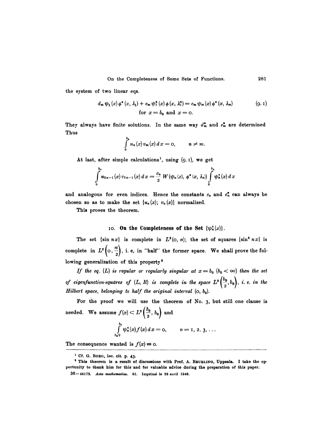the system of two linear eqs.

$$
d_m \psi_1(x) \phi^*(x, \lambda_1) + e_m \psi_1^*(x) \phi(x, \lambda_1^*) = c_m \psi_m(x) \phi^*(x, \lambda_m)
$$
(9.1)  
for  $x = b_0$  and  $x = 0$ .

They always have finite solutions. In the same way  $d_m^*$  and  $e_m^*$  are determined Thus

$$
\int_0^{b_0} u_n(x) v_m(x) dx = 0, \qquad n \neq m.
$$

At last, after simple calculations<sup>1</sup>, using  $(9.1)$ , we get

$$
\int_{0}^{b_{0}} u_{2n-1}(x) v_{2n-1}(x) dx = \frac{c_{n}}{2} W(\psi_{n}(x), \phi^{*}(x, \lambda_{n})) \int_{0}^{b_{0}} \psi_{n}^{2}(x) dx
$$

and analogous for even indices. Hence the constants  $c_n$  and  $c_n^*$  can always be chosen so as to make the set  $\{u_n(x); v_n(x)\}\$  normalized.

This proves the theorem.

#### 10. On the Completeness of the Set  $\{\psi_n^2(x)\}.$

The set  $\{\sin nx\}$  is complete in  $L^2(0, \pi)$ ; the set of squares  $\{\sin^2 nx\}$  is complete in  $L^2(\circ, \frac{\pi}{2})$ , i. e, in "half" the former space. We shall prove the following generalization of this property<sup>2</sup>

*If the eq.* (*L*) is regular or regularly singular at  $x = b_0$  ( $b_0 < \infty$ ) then the set *of eigenfunction-squares of*  $(L, R)$  *is complete in the space*  $L^2\left(\frac{b_0}{2}, b_0\right)$ , *i. e. in the Hilbert space, belonging to half the original interval*  $(o, b_0)$ .

For the proof we will use the theorem of No. 3, but still one clause is needed. We assume  $f(x) < L^2\left(\frac{b_0}{2}, b_0\right)$  and

$$
\int_{b_0/2}^{b_0} \psi_n^2(x) f(x) dx = 0, \qquad n = 1, 2, 3, ...
$$

The consequence wanted is  $f(x) = 0$ .

 $<sup>1</sup>$  Cf. G. Borg, loc. cit. p. 43.</sup>

<sup>&</sup>lt;sup>1</sup> This theorem is a result of discussions with Prof. A. BEURLING, Uppsala. I take the opportunity to thank him for this and for valuable advice during the preparation of this paper. 36-48173. Acta mathematica. 81. Imprimé le 28 avril 1949.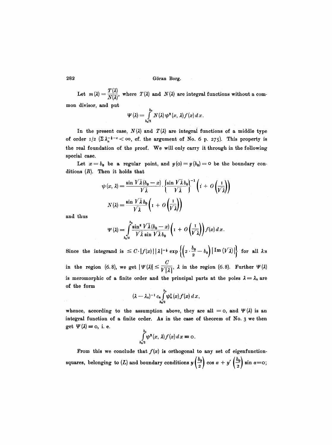Let  $m(\lambda) = \frac{T(\lambda)}{N(1)}$ , where  $T(\lambda)$  and  $N(\lambda)$  are integral functions without a common divisor, and put

$$
\Psi(\lambda) = \int\limits_{b_0/2}^{b_0} N(\lambda) \, \psi^2(x, \, \lambda) f(x) \, dx.
$$

In the present case,  $N(\lambda)$  and  $T(\lambda)$  are integral functions of a middle type of order  $I/2$   $(\sum \lambda_i^{-1-\epsilon} < \infty$ , cf. the argument of No. 6 p. 275). This property is the real foundation of the proof. We will only carry it through in the following special case.

Let  $x = b_0$  be a regular point, and  $y(0) = y(b_0) = 0$  be the boundary conditions  $(R)$ . Then it holds that

$$
\psi(x, \lambda) = \frac{\sin \sqrt{\lambda} (b_0 - x)}{\sqrt{\lambda}} \cdot \left\{ \frac{\sin \sqrt{\lambda} b_0}{\sqrt{\lambda}} \right\}^{-1} \left( 1 + O\left( \frac{1}{\sqrt{\lambda}} \right) \right)
$$

$$
N(\lambda) = \frac{\sin \sqrt{\lambda} b_0}{\sqrt{\lambda}} \left( 1 + O\left( \frac{1}{\sqrt{\lambda}} \right) \right)
$$

and thus

$$
\Psi(\lambda) = \int_{b_0/2}^{b_0} \frac{\sin^2 V \bar{\lambda} (b_0 - x)}{V \bar{\lambda} \sin V \bar{\lambda} b_0} \left( 1 + O\left(\frac{1}{V \bar{\lambda}}\right) \right) f(x) dx.
$$

Since the integrand is  $\leq C \cdot |f(x)| \cdot |\lambda|^{-\frac{1}{2}} \exp \left\{ \left(2 \cdot \frac{\theta_0}{2} - b_0\right) |\operatorname{Im} (V \lambda)| \right\}$  for all  $\lambda$ :s  $\boldsymbol{C}$ in the region (6.8), we get  $|\Psi(\lambda)| \leq \frac{1}{\sqrt{1.31}}$ ,  $\lambda$  in the region (6.8). Further  $\Psi(\lambda)$ is meromorphic of a finite order and the principal parts at the poles  $\lambda = \lambda_n$  are of the form

$$
(\lambda - \lambda_n)^{-1} c_n \int_{b\omega/2}^{b_0} \psi_n^2(x) f(x) dx,
$$

whence, according to the assumption above, they are all = 0, and  $\Psi(\lambda)$  is an integral function of a finite order. As in the case of theorem of No. 3 we then get  $\Psi(\lambda) = 0$ , i. e.

$$
\int_{b_0/2}^{b_0}\psi^2(x,\lambda)f(x)\,dx=0.
$$

From this we conclude that  $f(x)$  is orthogonal to any set of eigenfunctionsquares, belonging to (L) and boundary conditions  $y(\frac{b_0}{2})$  cos  $\alpha + y'(\frac{b_0}{2})$  sin  $\alpha = 0$ ;